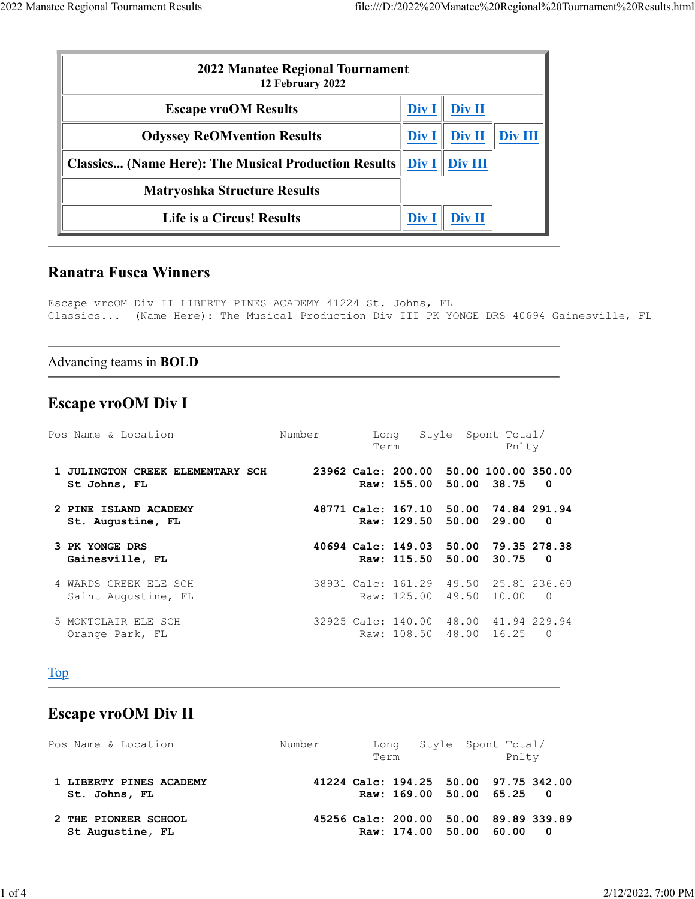| 2022 Manatee Regional Tournament<br>12 February 2022                |       |               |         |
|---------------------------------------------------------------------|-------|---------------|---------|
| <b>Escape vroOM Results</b>                                         | Div I | Div II        |         |
| <b>Odyssey ReOMvention Results</b>                                  | Div I | Div II        | Div III |
| <b>Classics (Name Here): The Musical Production Results   Div I</b> |       | Div III       |         |
| <b>Matryoshka Structure Results</b>                                 |       |               |         |
| <b>Life is a Circus! Results</b>                                    | Div ! | <b>Div II</b> |         |

### Ranatra Fusca Winners

Escape vroOM Div II LIBERTY PINES ACADEMY 41224 St. Johns, FL Classics... (Name Here): The Musical Production Div III PK YONGE DRS 40694 Gainesville, FL

#### Advancing teams in BOLD

### Escape vroOM Div I

| Pos Name & Location                              | Number                                | Long<br>Term                           |             | Style Spont Total/ |                                   |  | Pnlty |                         |  |
|--------------------------------------------------|---------------------------------------|----------------------------------------|-------------|--------------------|-----------------------------------|--|-------|-------------------------|--|
| 1 JULINGTON CREEK ELEMENTARY SCH<br>St Johns, FL |                                       | 23962 Calc: 200.00 50.00 100.00 350.00 |             |                    | Raw: 155.00 50.00 38.75 0         |  |       |                         |  |
| 2 PINE ISLAND ACADEMY<br>St. Augustine, FL       | 48771 Calc: 167.10 50.00 74.84 291.94 |                                        |             |                    | Raw: 129.50 50.00 29.00           |  |       | $\overline{\mathbf{0}}$ |  |
| 3 PK YONGE DRS<br>Gainesville, FL                |                                       | 40694 Calc: 149.03 50.00 79.35 278.38  |             |                    | Raw: 115.50 50.00 30.75           |  |       | $\overline{\mathbf{0}}$ |  |
| 4 WARDS CREEK ELE SCH<br>Saint Augustine, FL     | 38931 Calc: 161.29 49.50 25.81 236.60 |                                        | Raw: 125.00 |                    | 49.50 10.00                       |  |       | $\bigcap$               |  |
| 5 MONTCLAIR ELE SCH<br>Orange Park, FL           | 32925 Calc: 140.00                    |                                        | Raw: 108.50 |                    | 48.00 41.94 229.94<br>48.00 16.25 |  |       | $\Omega$                |  |

### Top

# Escape vroOM Div II

| Pos Name & Location                      | Number | Long Style Spont Total/<br>Term | Pnlty                                 |
|------------------------------------------|--------|---------------------------------|---------------------------------------|
| 1 LIBERTY PINES ACADEMY<br>St. Johns, FL |        | Raw: 169.00 50.00 65.25 0       | 41224 Calc: 194.25 50.00 97.75 342.00 |
| 2 THE PIONEER SCHOOL<br>St Augustine, FL |        | Raw: 174.00 50.00 60.00 0       | 45256 Calc: 200.00 50.00 89.89 339.89 |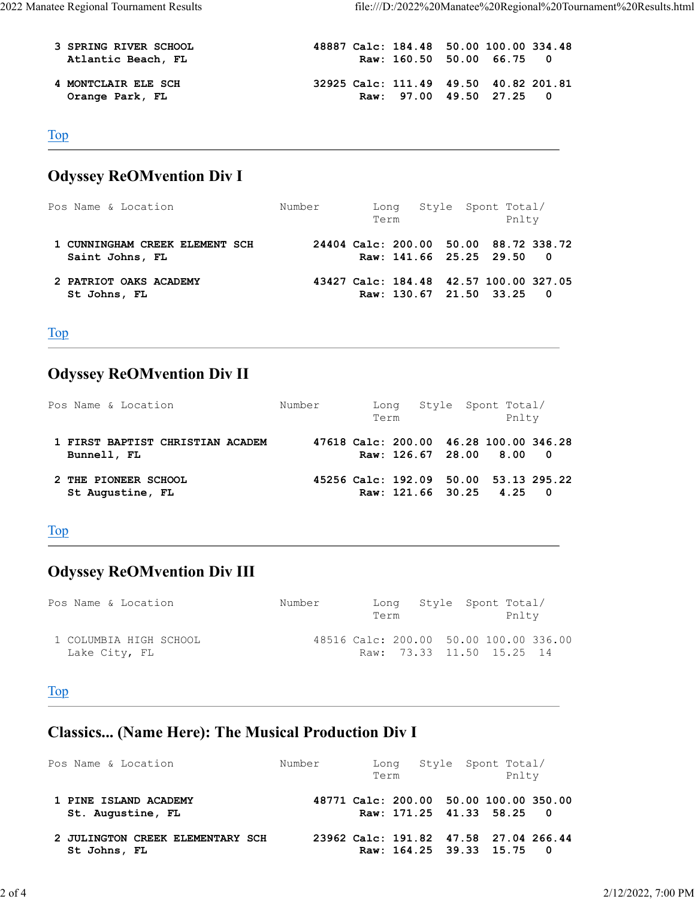| <b>3 SPRING RIVER SCHOOL</b> | 48887 Calc: 184.48 50.00 100.00 334.48 |
|------------------------------|----------------------------------------|
| Atlantic Beach, FL           | Raw: 160.50 50.00 66.75 0              |
|                              |                                        |
| 4 MONTCLAIR ELE SCH          | 32925 Calc: 111.49 49.50 40.82 201.81  |
| Orange Park, FL              | Raw: 97.00 49.50 27.25 0               |

#### Top

# Odyssey ReOMvention Div I

| Pos Name & Location                               | Number | Term | Long Style Spont Total/                                             | Pnlty |
|---------------------------------------------------|--------|------|---------------------------------------------------------------------|-------|
| 1 CUNNINGHAM CREEK ELEMENT SCH<br>Saint Johns, FL |        |      | 24404 Calc: 200.00 50.00 88.72 338.72<br>Raw: 141.66 25.25 29.50 0  |       |
| 2 PATRIOT OAKS ACADEMY<br>St Johns, FL            |        |      | 43427 Calc: 184.48 42.57 100.00 327.05<br>Raw: 130.67 21.50 33.25 0 |       |

### Top

# Odyssey ReOMvention Div II

| Pos Name & Location                             | Number | Long<br>Term | Style Spont Total/                                                 | Pnlty |  |
|-------------------------------------------------|--------|--------------|--------------------------------------------------------------------|-------|--|
| 1 FIRST BAPTIST CHRISTIAN ACADEM<br>Bunnell, FL |        |              | 47618 Calc: 200.00 46.28 100.00 346.28<br>Raw: 126.67 28.00 8.00 0 |       |  |
| 2 THE PIONEER SCHOOL<br>St Augustine, FL        |        |              | 45256 Calc: 192.09 50.00 53.13 295.22<br>Raw: 121.66 30.25 4.25 0  |       |  |

#### Top

# Odyssey ReOMvention Div III

| Pos Name & Location                     | Number                                 | Long Style Spont Total/<br>Term |  | Pnlty |  |
|-----------------------------------------|----------------------------------------|---------------------------------|--|-------|--|
| 1 COLUMBIA HIGH SCHOOL<br>Lake City, FL | 48516 Calc: 200.00 50.00 100.00 336.00 | Raw: 73.33 11.50 15.25 14       |  |       |  |

#### Top

# Classics... (Name Here): The Musical Production Div I

| Pos Name & Location                              | Number                                 | Long<br>Term              |  | Style Spont Total/ |  | Pnlty |  |  |  |  |
|--------------------------------------------------|----------------------------------------|---------------------------|--|--------------------|--|-------|--|--|--|--|
| 1 PINE ISLAND ACADEMY<br>St. Augustine, FL       | 48771 Calc: 200.00 50.00 100.00 350.00 | Raw: 171.25 41.33 58.25 0 |  |                    |  |       |  |  |  |  |
| 2 JULINGTON CREEK ELEMENTARY SCH<br>St Johns, FL | 23962 Calc: 191.82 47.58 27.04 266.44  | Raw: 164.25 39.33 15.75 0 |  |                    |  |       |  |  |  |  |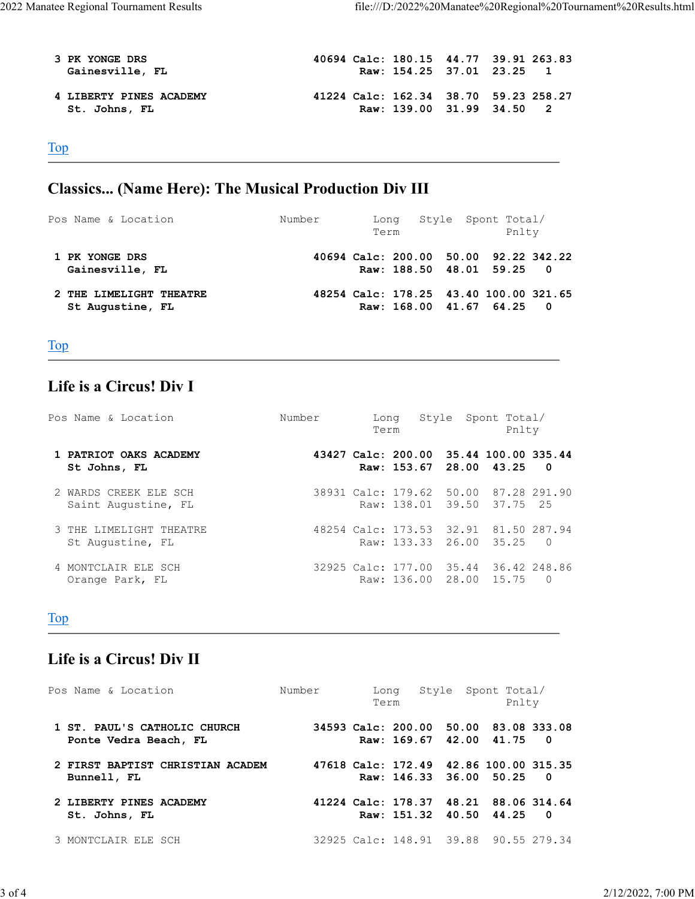| 3 PK YONGE DRS<br>Gainesville, FL        | 40694 Calc: 180.15 44.77 39.91 263.83 | Raw: 154.25 37.01 23.25 1 |  |
|------------------------------------------|---------------------------------------|---------------------------|--|
| 4 LIBERTY PINES ACADEMY<br>St. Johns, FL | 41224 Calc: 162.34 38.70 59.23 258.27 | Raw: 139.00 31.99 34.50 2 |  |

<u> 1980 - Johann Barbara, martxa a</u>

Top

# Classics... (Name Here): The Musical Production Div III

| Pos Name & Location                         | Number | Term | Long Style Spont Total/                                             | Pnlty |  |
|---------------------------------------------|--------|------|---------------------------------------------------------------------|-------|--|
| 1 PK YONGE DRS<br>Gainesville, FL           |        |      | 40694 Calc: 200.00 50.00 92.22 342.22<br>Raw: 188.50 48.01 59.25 0  |       |  |
| 2 THE LIMELIGHT THEATRE<br>St Augustine, FL |        |      | 48254 Calc: 178.25 43.40 100.00 321.65<br>Raw: 168.00 41.67 64.25 0 |       |  |

Top

### Life is a Circus! Div I

| Pos Name & Location                          | Number | Long<br>Term |  | Style Spont Total/ |  |                                                                     | Pnlty |  |
|----------------------------------------------|--------|--------------|--|--------------------|--|---------------------------------------------------------------------|-------|--|
| 1 PATRIOT OAKS ACADEMY<br>St Johns, FL       |        |              |  |                    |  | 43427 Calc: 200.00 35.44 100.00 335.44<br>Raw: 153.67 28.00 43.25 0 |       |  |
| 2 WARDS CREEK ELE SCH<br>Saint Augustine, FL |        |              |  |                    |  | 38931 Calc: 179.62 50.00 87.28 291.90<br>Raw: 138.01 39.50 37.75 25 |       |  |
| 3 THE LIMELIGHT THEATRE<br>St Augustine, FL  |        |              |  |                    |  | 48254 Calc: 173.53 32.91 81.50 287.94<br>Raw: 133.33 26.00 35.25 0  |       |  |
| 4 MONTCLAIR ELE SCH<br>Orange Park, FL       |        |              |  |                    |  | 32925 Calc: 177.00 35.44 36.42 248.86<br>Raw: 136.00 28.00 15.75 0  |       |  |

#### Top

### Life is a Circus! Div II

| Pos Name & Location                                   | Number | Long<br>Term |  | Style Spont Total/<br>Pnlty                                         |  |  |  |  |  |
|-------------------------------------------------------|--------|--------------|--|---------------------------------------------------------------------|--|--|--|--|--|
| 1 ST. PAUL'S CATHOLIC CHURCH<br>Ponte Vedra Beach, FL |        |              |  | 34593 Calc: 200.00 50.00 83.08 333.08<br>Raw: 169.67 42.00 41.75 0  |  |  |  |  |  |
| 2 FIRST BAPTIST CHRISTIAN ACADEM<br>Bunnell, FL       |        |              |  | 47618 Calc: 172.49 42.86 100.00 315.35<br>Raw: 146.33 36.00 50.25 0 |  |  |  |  |  |
| 2 LIBERTY PINES ACADEMY<br>St. Johns, FL              |        |              |  | 41224 Calc: 178.37 48.21 88.06 314.64<br>Raw: 151.32 40.50 44.25 0  |  |  |  |  |  |
| 3 MONTCLAIR ELE SCH                                   |        |              |  | 32925 Calc: 148.91 39.88 90.55 279.34                               |  |  |  |  |  |